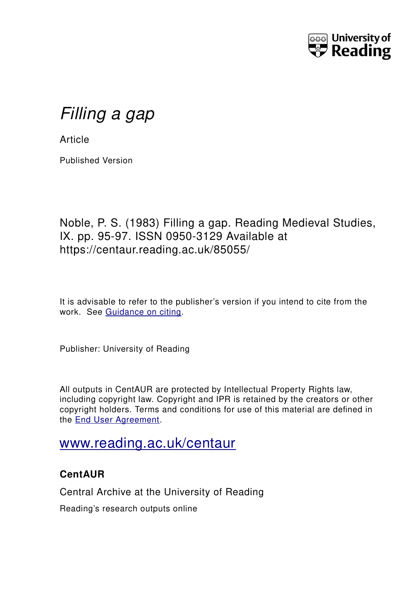

# *Filling a gap*

**Article** 

Published Version

## Noble, P. S. (1983) Filling a gap. Reading Medieval Studies, IX. pp. 95-97. ISSN 0950-3129 Available at https://centaur.reading.ac.uk/85055/

It is advisable to refer to the publisher's version if you intend to cite from the work. See [Guidance on citing.](http://centaur.reading.ac.uk/71187/10/CentAUR%20citing%20guide.pdf)

Publisher: University of Reading

All outputs in CentAUR are protected by Intellectual Property Rights law, including copyright law. Copyright and IPR is retained by the creators or other copyright holders. Terms and conditions for use of this material are defined in the [End User Agreement.](http://centaur.reading.ac.uk/licence)

# [www.reading.ac.uk/centaur](http://www.reading.ac.uk/centaur)

### **CentAUR**

Central Archive at the University of Reading

Reading's research outputs online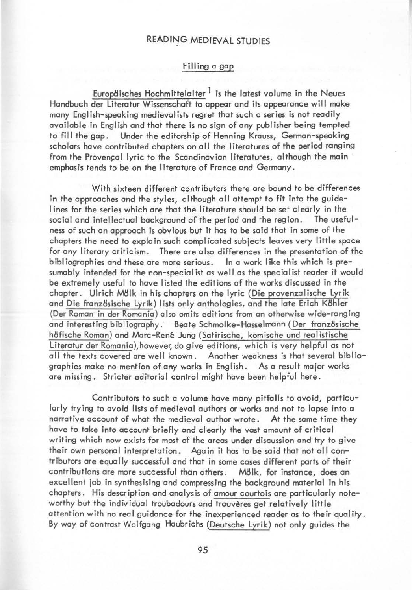#### READING MEDIEVAL STUDIES

#### Filling a gap

Europdisches Hochmittelalter  $<sup>1</sup>$  is the latest volume in the Neues</sup> Handbuch der literotur Wissenschaft to appear and its appearonce will make many English-speaking medievalists regret that such a series is not readily available in English and that there is no sign of any publisher being tempted Under the editorship of Henning Krauss, German-speaking scholars have contributed chapters on all the literatures of the period ranging from the Provencal lyric to the Scandinavian literatures, although the main emphas is tends to be on the I iterature of France and Germany.

With sixteen different contributors there are bound to be differences in the approaches and the styles, although all attempt to fit into the guidelines for the series which are that the literature should be set clearly in the social and intellectual background of the period and the region. The usefulsocial and intellectual background of the period and the region. ness of such an approach is obvious bvt it has to be said that in some of the chapters the need to explain such complicated subjects leaves very little space for any literary criticism. There are also differences in the presentation of the bibliographies and these are more serious. In a work like this which is presumably intended for the non-specialist as well as the specialist reader it would be extremely useful to have listed the editions of the works discussed in the chapter. Ulrich M8lk in his chapters on the lyric (Die provenzalische lyrik and Die französische Lyrik) lists only anthologies, and the late Erich Köhler (Der Roman in der Romania) also omits editions from an otherwise wide-ranging and interesting bibliography. Beate Schmolke-Hasselmann (Der französische h8fische Roman) and Marc-René Jung (Satirische, komische und realistische Literatur der Romania), however, do give editions, which is very helpful as not all the texts covered are well known. Another weakness is that several bibl iographies make no mention of any works in English. As a result major works are missing. Stricter editorial control might have been helpful here.

Contributors to such a volume have many pitfalls to avoid, particularly trying to avoid lists of medieval authors or works and not to lapse into a narrative account of what the medieval author wrote. At the some time they have to take into account briefly and clearly the vast amount of critical writing which now exists for most of the areas under discussion and try to give their own personal interpretation. Again it has to be said that not all contributors are equally successful and that in some cases different ports of their contributions are more successful than others. M8lk, for instance, does an excellent job in synthesising and compressing the background material in his chapters. His description and analysis of amour courtois are particularly noteworthy but the individual troubadours and trouvères get relatively little attention with no real guidance for the inexperienced reader as to their quality. By way of contrast Wolfgang Haubrichs (Deutsche lyrik) not only guides the

95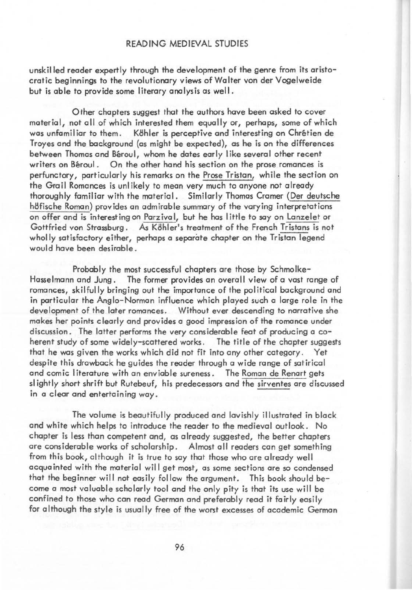#### READING MEDIEVAL STUDIES

unskilled reader expertly through the development of the genre from its aristocratic beginnings to the revolutionary views of Walter von der Vogelweide but is able to provide some literary analysis as well.

Other chapters suggest that the authors have been asked to cover material, not all of which interested them equally or, perhaps, some of which was unfamiliar to them. Köhler is perceptive and interesting on Chrétien de Troyes and the background (as might be expected), as he is on the differences between Thomas and Béroul, whom he dates early like several other recent writers on Béroul. On the other hand his section on the prose romances is perfunctory, particularly his remarks on the Prose Tristan, while the section on the Grail Romances is unlikely to mean very much to anyone not already thoroughly familiar with the material. Similarly Thomas Cramer (Der deutsche h8fische Roman) provides an admirable summary of the varying interpretations on offer and is interesting on Parzival, but he has little to soy on lanzelet or Gottfried von Strassburg. As Köhler's treatment of the French Tristans is not wholly satisfactory either, perhaps a separate chapter on the Tristan legend would have been desirable.

Probably the most successful chapters are those by Schmolke-Hasselmann and Jung. The former provides an overall view of a vast range of romances, skilfully bringing out the importance of the political background and in particular the Anglo-Norman influence which played such a large role in the development of the later romances. Without ever descending to narrative she makes her points clearly and provides a good impression of the romance under discussion. The latter performs the very considerable feat of producing a coherent study of some widely-scattered works. The title of the chapter suggests that he was given the works which did not fit into any other category. Yet despite this drawback he guides the reader through a wide range of satirical and comic literature with an enviable sureness. The Roman de Renart gets slightly short shrift but Rutebeuf, his predecessors and the sirventes are discussed in a clear and entertaining way.

The volume is beautifully produced and lavishly illustrated in black and white which helps to introduce the reader to the medieval outlook. No chapter is less than competent and, as already suggested, the better chapters are considerable works of scholarship. Almost all readers can get something from this book, although it is true to say that those who are already well acquainted with the material will get most, as some sections are so condensed that the beginner will not easily follow the argument. This book should become a mast valuable scholarly tool and the only pity is that its use will be confined to those who can read German and preferably read it fairly easily for although the style is usually free of the worst excesses of academic German